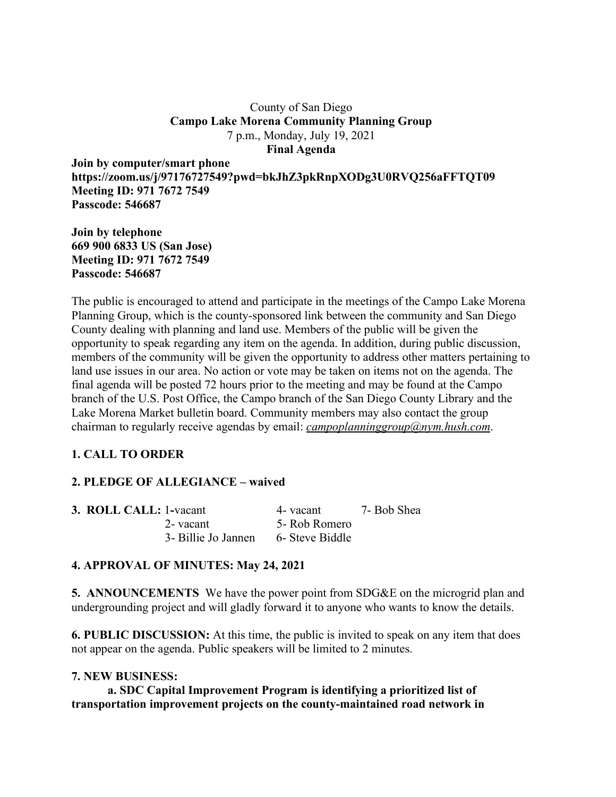### County of San Diego **Campo Lake Morena Community Planning Group** 7 p.m., Monday, July 19, 2021 **Final Agenda**

**Join by computer/smart phone https://zoom.us/j/97176727549?pwd=bkJhZ3pkRnpXODg3U0RVQ256aFFTQT09 Meeting ID: 971 7672 7549 Passcode: 546687**

**Join by telephone 669 900 6833 US (San Jose) Meeting ID: 971 7672 7549 Passcode: 546687**

The public is encouraged to attend and participate in the meetings of the Campo Lake Morena Planning Group, which is the county-sponsored link between the community and San Diego County dealing with planning and land use. Members of the public will be given the opportunity to speak regarding any item on the agenda. In addition, during public discussion, members of the community will be given the opportunity to address other matters pertaining to land use issues in our area. No action or vote may be taken on items not on the agenda. The final agenda will be posted 72 hours prior to the meeting and may be found at the Campo branch of the U.S. Post Office, the Campo branch of the San Diego County Library and the Lake Morena Market bulletin board. Community members may also contact the group chairman to regularly receive agendas by email: *campoplanninggroup@nym.hush.com*.

# **1. CALL TO ORDER**

## **2. PLEDGE OF ALLEGIANCE – waived**

| <b>3. ROLL CALL: 1-vacant</b> |                     | 4- vacant       | 7- Bob Shea |
|-------------------------------|---------------------|-----------------|-------------|
|                               | 2-vacant            | 5- Rob Romero   |             |
|                               | 3- Billie Jo Jannen | 6- Steve Biddle |             |

## **4. APPROVAL OF MINUTES: May 24, 2021**

**5. ANNOUNCEMENTS** We have the power point from SDG&E on the microgrid plan and undergrounding project and will gladly forward it to anyone who wants to know the details.

**6. PUBLIC DISCUSSION:** At this time, the public is invited to speak on any item that does not appear on the agenda. Public speakers will be limited to 2 minutes.

### **7. NEW BUSINESS:**

**a. SDC Capital Improvement Program is identifying a prioritized list of transportation improvement projects on the county-maintained road network in**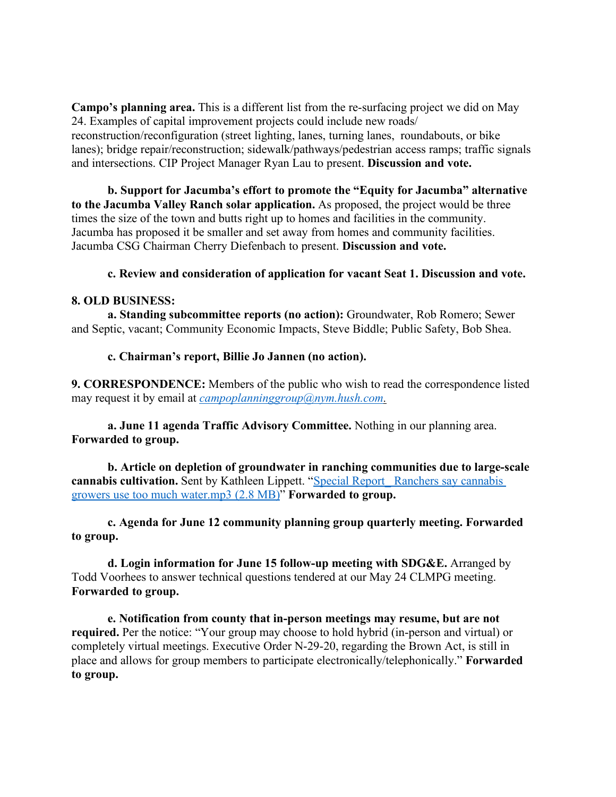**Campo's planning area.** This is a different list from the re-surfacing project we did on May 24. Examples of capital improvement projects could include new roads/ reconstruction/reconfiguration (street lighting, lanes, turning lanes, roundabouts, or bike lanes); bridge repair/reconstruction; sidewalk/pathways/pedestrian access ramps; traffic signals and intersections. CIP Project Manager Ryan Lau to present. **Discussion and vote.**

**b. Support for Jacumba's effort to promote the "Equity for Jacumba" alternative to the Jacumba Valley Ranch solar application.** As proposed, the project would be three times the size of the town and butts right up to homes and facilities in the community. Jacumba has proposed it be smaller and set away from homes and community facilities. Jacumba CSG Chairman Cherry Diefenbach to present. **Discussion and vote.**

### **c. Review and consideration of application for vacant Seat 1. Discussion and vote.**

#### **8. OLD BUSINESS:**

**a. Standing subcommittee reports (no action):** Groundwater, Rob Romero; Sewer and Septic, vacant; Community Economic Impacts, Steve Biddle; Public Safety, Bob Shea.

#### **c. Chairman's report, Billie Jo Jannen (no action).**

**9. CORRESPONDENCE:** Members of the public who wish to read the correspondence listed may request it by email at *campoplanninggroup@nym.hush.com.*

**a. June 11 agenda Traffic Advisory Committee.** Nothing in our planning area. **Forwarded to group.**

**b. Article on depletion of groundwater in ranching communities due to large-scale cannabis cultivation.** Sent by Kathleen Lippett. "Special Report\_ Ranchers say cannabis growers use too much water.mp3 (2.8 MB)" **Forwarded to group.**

**c. Agenda for June 12 community planning group quarterly meeting. Forwarded to group.**

**d. Login information for June 15 follow-up meeting with SDG&E.** Arranged by Todd Voorhees to answer technical questions tendered at our May 24 CLMPG meeting. **Forwarded to group.**

**e. Notification from county that in-person meetings may resume, but are not required.** Per the notice: "Your group may choose to hold hybrid (in-person and virtual) or completely virtual meetings. Executive Order N-29-20, regarding the Brown Act, is still in place and allows for group members to participate electronically/telephonically." **Forwarded to group.**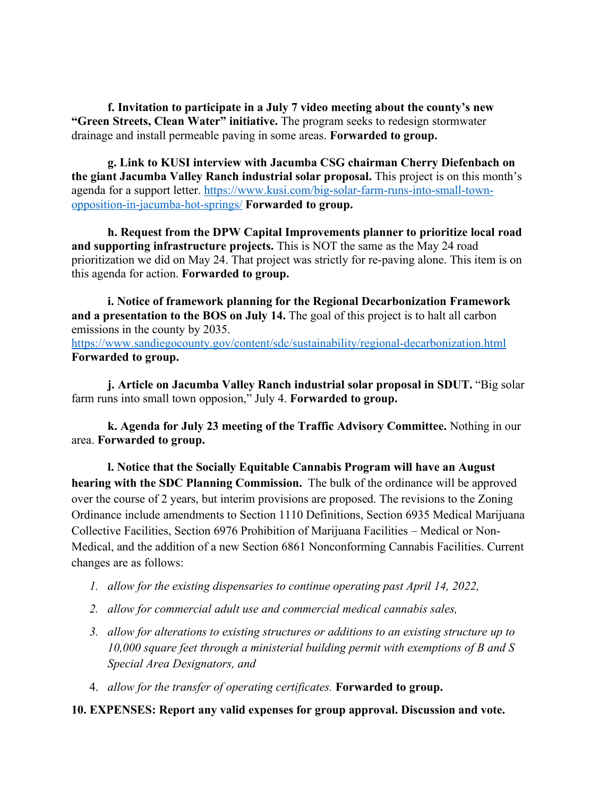**f. Invitation to participate in a July 7 video meeting about the county's new "Green Streets, Clean Water" initiative.** The program seeks to redesign stormwater drainage and install permeable paving in some areas. **Forwarded to group.**

**g. Link to KUSI interview with Jacumba CSG chairman Cherry Diefenbach on the giant Jacumba Valley Ranch industrial solar proposal.** This project is on this month's agenda for a support letter. https://www.kusi.com/big-solar-farm-runs-into-small-townopposition-in-jacumba-hot-springs/ **Forwarded to group.**

**h. Request from the DPW Capital Improvements planner to prioritize local road and supporting infrastructure projects.** This is NOT the same as the May 24 road prioritization we did on May 24. That project was strictly for re-paving alone. This item is on this agenda for action. **Forwarded to group.**

**i. Notice of framework planning for the Regional Decarbonization Framework and a presentation to the BOS on July 14.** The goal of this project is to halt all carbon emissions in the county by 2035. https://www.sandiegocounty.gov/content/sdc/sustainability/regional-decarbonization.html **Forwarded to group.**

**j. Article on Jacumba Valley Ranch industrial solar proposal in SDUT.** "Big solar farm runs into small town opposion," July 4. **Forwarded to group.**

**k. Agenda for July 23 meeting of the Traffic Advisory Committee.** Nothing in our area. **Forwarded to group.**

**l. Notice that the Socially Equitable Cannabis Program will have an August hearing with the SDC Planning Commission.** The bulk of the ordinance will be approved over the course of 2 years, but interim provisions are proposed. The revisions to the Zoning Ordinance include amendments to Section 1110 Definitions, Section 6935 Medical Marijuana Collective Facilities, Section 6976 Prohibition of Marijuana Facilities – Medical or Non-Medical, and the addition of a new Section 6861 Nonconforming Cannabis Facilities. Current changes are as follows:

- *1. allow for the existing dispensaries to continue operating past April 14, 2022,*
- *2. allow for commercial adult use and commercial medical cannabis sales,*
- *3. allow for alterations to existing structures or additions to an existing structure up to 10,000 square feet through a ministerial building permit with exemptions of B and S Special Area Designators, and*
- 4. *allow for the transfer of operating certificates.* **Forwarded to group.**

## **10. EXPENSES: Report any valid expenses for group approval. Discussion and vote.**